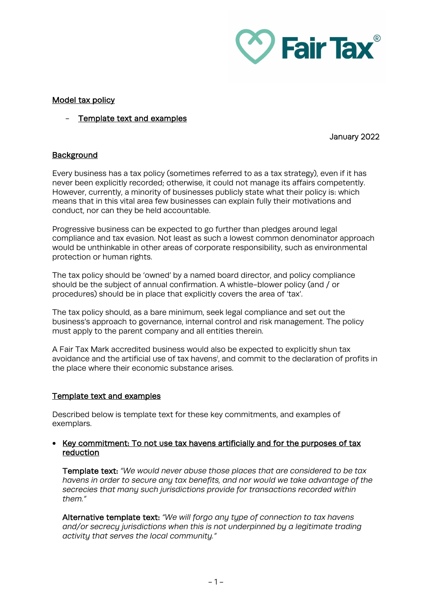

## Model tax policy

Template text and examples

## January 2022

# **Background**

Every business has a tax policy (sometimes referred to as a tax strategy), even if it has never been explicitly recorded; otherwise, it could not manage its affairs competently. However, currently, a minority of businesses publicly state what their policy is: which means that in this vital area few businesses can explain fully their motivations and conduct, nor can they be held accountable.

Progressive business can be expected to go further than pledges around legal compliance and tax evasion. Not least as such a lowest common denominator approach would be unthinkable in other areas of corporate responsibility, such as environmental protection or human rights.

The tax policy should be 'owned' by a named board director, and policy compliance should be the subject of annual confirmation. A whistle-blower policy (and / or procedures) should be in place that explicitly covers the area of 'tax'.

The tax policy should, as a bare minimum, seek legal compliance and set out the business's approach to governance, internal control and risk management. The policy must apply to the parent company and all entities therein.

A Fair Tax Mark accredited business would also be expected to explicitly shun tax avo[i](#page-2-0)dance and the artificial use of tax havens<sup>i</sup>, and commit to the declaration of profits in the place where their economic substance arises.

# Template text and examples

Described below is template text for these key commitments, and examples of exemplars.

#### • Key commitment: To not use tax havens artificially and for the purposes of tax reduction

Template text: *"We would never abuse those places that are considered to be tax havens in order to secure any tax benefits, and nor would we take advantage of the secrecies that many such jurisdictions provide for transactions recorded within them."*

Alternative template text: *"We will forgo any type of connection to tax havens and/or secrecy jurisdictions when this is not underpinned by a legitimate trading activity that serves the local community."*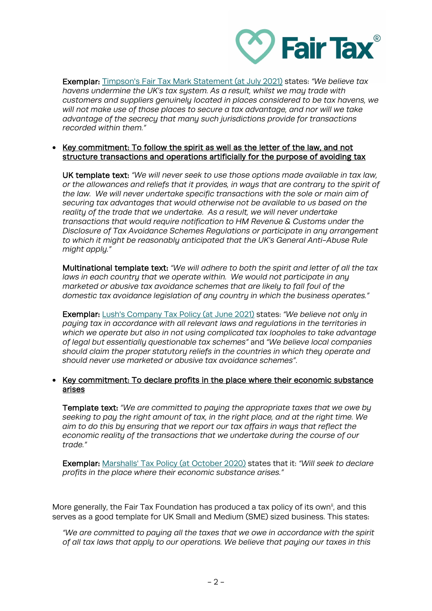

Exemplar: [Timpson's Fair Tax Mark Statement \(at July 2021\)](https://www.timpson.co.uk/media/wysiwyg/PDF/Timpson_Holding_-_Fair_Tax_Mark_Statement_July_21_.pdf) states: *"We believe tax havens undermine the UK's tax system. As a result, whilst we may trade with customers and suppliers genuinely located in places considered to be tax havens, we will not make use of those places to secure a tax advantage, and nor will we take advantage of the secrecy that many such jurisdictions provide for transactions recorded within them."*

# • Key commitment: To follow the spirit as well as the letter of the law, and not structure transactions and operations artificially for the purpose of avoiding tax

UK template text: *"We will never seek to use those options made available in tax law, or the allowances and reliefs that it provides, in ways that are contrary to the spirit of the law. We will never undertake specific transactions with the sole or main aim of securing tax advantages that would otherwise not be available to us based on the reality of the trade that we undertake. As a result, we will never undertake transactions that would require notification to HM Revenue & Customs under the Disclosure of Tax Avoidance Schemes Regulations or participate in any arrangement to which it might be reasonably anticipated that the UK's General Anti-Abuse Rule might apply."*

Multinational template text: *"We will adhere to both the spirit and letter of all the tax laws in each countru that we operate within. We would not participate in any marketed or abusive tax avoidance schemes that are likely to fall foul of the domestic tax avoidance legislation of any country in which the business operates."*

Exemplar: [Lush's Company Tax Policy \(at June 2021\)](https://weare.lush.com/lush-life/our-policies/company-tax-policy/) states: *"We believe not only in paying tax in accordance with all relevant laws and regulations in the territories in which we operate but also in not using complicated tax loopholes to take advantage of legal but essentially questionable tax schemes"* and *"We believe local companies should claim the proper statutory reliefs in the countries in which they operate and should never use marketed or abusive tax avoidance schemes"*.

#### • Key commitment: To declare profits in the place where their economic substance arises

Template text: *"We are committed to paying the appropriate taxes that we owe by seeking to pay the right amount of tax, in the right place, and at the right time. We aim to do this by ensuring that we report our tax affairs in ways that reflect the economic reality of the transactions that we undertake during the course of our trade."*

Exemplar: [Marshalls' Tax Policy \(at October 2020\)](https://media.marshalls.co.uk/image/upload/fl_attachment/v1605259110/Tax-Policy-Statement-Nov-2020.pdf) states that it: *"Will seek to declare profits in the place where their economic substance arises."*

More generally, the Fair Tax Foundation has produced a tax policy of its own<sup>ii</sup>, and this serves as a good template for UK Small and Medium (SME) sized business. This states:

*"We are committed to paying all the taxes that we owe in accordance with the spirit of all tax laws that apply to our operations. We believe that paying our taxes in this*